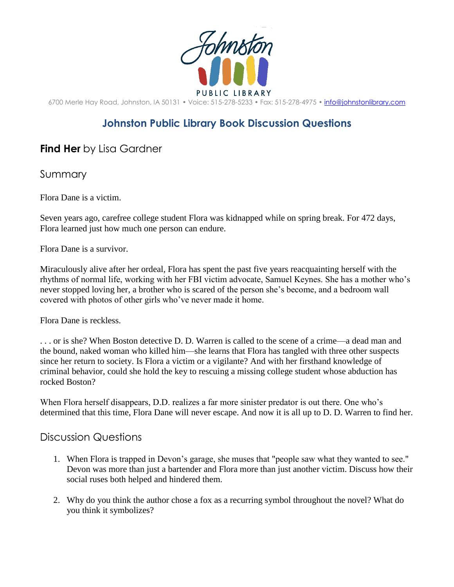

6700 Merle Hay Road, Johnston, IA 50131 • Voice: 515-278-5233 • Fax: 515-278-4975 • [info@johnstonlibrary.com](mailto:info@johnstonlibrary.com)

## **Johnston Public Library Book Discussion Questions**

## **Find Her** by Lisa Gardner

Summary

Flora Dane is a victim.

Seven years ago, carefree college student Flora was kidnapped while on spring break. For 472 days, Flora learned just how much one person can endure.

Flora Dane is a survivor.

Miraculously alive after her ordeal, Flora has spent the past five years reacquainting herself with the rhythms of normal life, working with her FBI victim advocate, Samuel Keynes. She has a mother who's never stopped loving her, a brother who is scared of the person she's become, and a bedroom wall covered with photos of other girls who've never made it home.

Flora Dane is reckless.

. . . or is she? When Boston detective D. D. Warren is called to the scene of a crime—a dead man and the bound, naked woman who killed him—she learns that Flora has tangled with three other suspects since her return to society. Is Flora a victim or a vigilante? And with her firsthand knowledge of criminal behavior, could she hold the key to rescuing a missing college student whose abduction has rocked Boston?

When Flora herself disappears, D.D. realizes a far more sinister predator is out there. One who's determined that this time, Flora Dane will never escape. And now it is all up to D. D. Warren to find her.

## Discussion Questions

- 1. When Flora is trapped in Devon's garage, she muses that "people saw what they wanted to see." Devon was more than just a bartender and Flora more than just another victim. Discuss how their social ruses both helped and hindered them.
- 2. Why do you think the author chose a fox as a recurring symbol throughout the novel? What do you think it symbolizes?